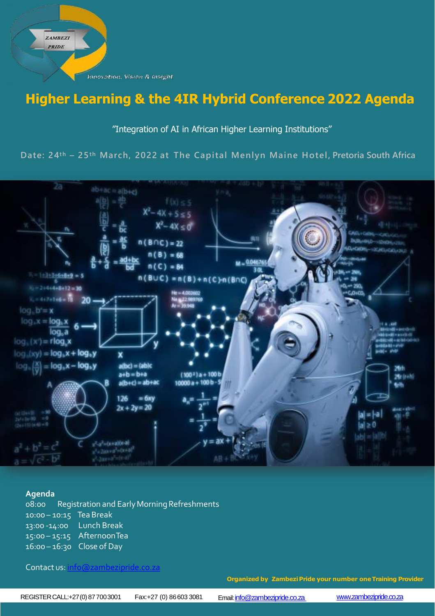Innovation, Vision & Insight

**ZAMBEZI PRIDE** 

# **Higher Learning & the 4IR Hybrid Conference 2022 Agenda**

## "Integration of AI in African Higher Learning Institutions"

**Date: 24th – 25th March, 2022 at The Capital Menlyn Maine Hotel, Pretoria South Africa**



### **Agenda**

08:00 Registration and EarlyMorningRefreshments 10:00 – 10:15 Tea Break 13:00 -14:00 15:00 – 15:15 AfternoonTea 16:00 – 16:30 Close of Day Lunch Break

## Contact us: [info@zambezipride.co.za](mailto:info@zambezipride.co.za)

**Organized by ZambeziPride your number oneTraining Provider**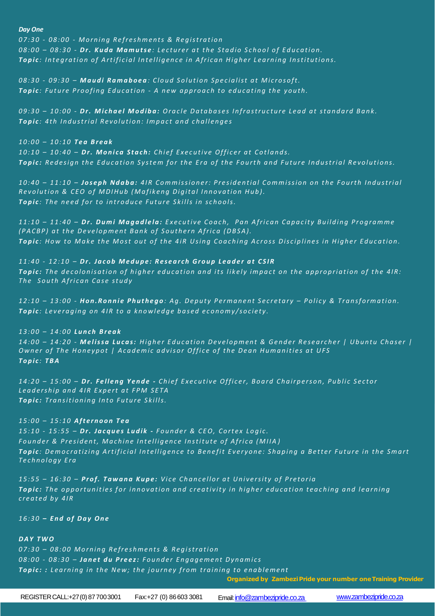#### *Day One*

*0 7 : 3 0 - 0 8 : 0 0 - M o r n i n g R e f r e s h m e n t s & R e g i s t r a t i o n*  08:00 - 08:30 - Dr. Kuda Mamutse: Lecturer at the Stadio School of Education. **Topic**: Integration of Artificial Intelligence in African Higher Learning Institutions.

*0 8 : 3 0 - 0 9 : 3 0 – M a u d i R a m a b o e a : C l o u d S o l u t i o n S p e c i a l i s t a t M i c r o s o f t .* **Topic**: Future Proofing Education - A new approach to educating the youth.

09:30 - 10:00 - Dr. Michael Modiba: Oracle Databases Infrastructure Lead at standard Bank. **Topic**: 4th Industrial Revolution: Impact and challenges

*1 0 : 0 0 – 1 0 : 1 0 T e a B r e a k* 10:10 - 10:40 - Dr. Monica Stach: Chief Executive Officer at Cotlands. *Topic: Redesign the Education System for the Era of the Fourth and Future Industrial Revolutions.* 

10:40 - 11:10 - Joseph Ndaba: 4IR Commissioner: Presidential Commission on the Fourth Industrial *Revolution & CEO of MDIHub (Mafikeng Digital Innovation Hub).* **Topic**: The need for to introduce Future Skills in schools.

11:10 - 11:40 - Dr. Dumi Magadlela: Executive Coach, Pan African Capacity Building Programme *(PACBP) at the Development Bank of Southern Africa (DBSA).* Topic: How to Make the Most out of the 4iR Using Coaching Across Disciplines in Higher Education.

*1 1 : 4 0 - 1 2 : 1 0 – D r . J a c o b M e d u p e : R e s e a r c h G r o u p L e a d e r a t C S I R* **Topic:** The decolonisation of higher education and its likely impact on the appropriation of the 4IR: The South African Case study

*1 2 : 1 0 – 1 3 : 0 0 - H o n . R o n n i e P h u t h e g o : A g . D e p u t y P e r m a n e n t S e c r e t a r y – P o l i c y & T r a n s f o r m a t i o n . Topic: Leveraging on 4IR to a knowledge based economy/society.* 

*1 3 : 0 0 – 1 4 : 0 0 L u n c h B r e a k* 14:00 - 14:20 - Melissa Lucas: Higher Education Development & Gender Researcher | Ubuntu Chaser | *Owner of The Honeypot | Academic advisor Office of the Dean Humanities at UFS T o p i c : T B A*

*14:20 - 15:00 - Dr. Felleng Yende - Chief Executive Officer, Board Chairperson, Public Sector* Leadership and 4IR Expert at FPM SETA **Topic:** Transitioning Into Future Skills.

*1 5 : 0 0 – 1 5 : 1 0 A f t e r n o o n T e a 1 5 : 1 0 - 1 5 : 5 5 – D r . J a c q u e s L u d i k - F o u n d e r & C E O , C o r t e x L o g i c . F o u n d e r & P r e s i d e n t , M a c h i n e I n t e l l i g e n c e I n s t i t u t e o f A f r i c a ( M I I A )* **Topic**: Democratizing Artificial Intelligence to Benefit Everyone: Shaping a Better Future in the Smart *T e c h n o l o g y E r a*

*1 5 : 5 5 – 1 6 : 3 0 – P r o f . T a w a n a K u p e : V i c e C h a n c e l l o r a t U n i v e r s i t y o f P r e t o r i a* **Topic:** The opportunities for innovation and creativity in higher education teaching and learning *c r e a t e d b y 4 I R*

*1 6 : 3 0 – E n d o f D a y O n e*

#### *D A Y T W O*

*07:30* - 08:00 Morning Refreshments & Registration *0 8 : 0 0 - 0 8 : 3 0 – J a n e t d u P r e e z : F o u n d e r E n g a g e m e n t D y n a m i c s Topic: : Learning in the New; the journey from training to enablement* 

**Organized by ZambeziPride your number oneTraining Provider**